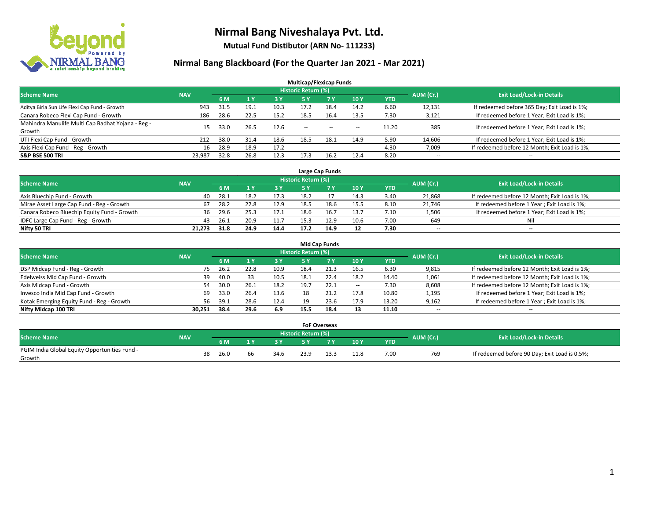

**Mutual Fund Distibutor (ARN No- 111233)**

| <b>Multicap/Flexicap Funds</b>                    |                                                                                                                 |      |      |      |               |                                                |                          |            |                          |                                               |  |  |  |  |  |
|---------------------------------------------------|-----------------------------------------------------------------------------------------------------------------|------|------|------|---------------|------------------------------------------------|--------------------------|------------|--------------------------|-----------------------------------------------|--|--|--|--|--|
|                                                   | <b>Historic Return (%)</b><br><b>Scheme Name</b><br>AUM (Cr.)<br><b>Exit Load/Lock-in Details</b><br><b>NAV</b> |      |      |      |               |                                                |                          |            |                          |                                               |  |  |  |  |  |
|                                                   |                                                                                                                 | 6 M  |      | 3 Y  | 5 Y           | 7 <sup>V</sup>                                 | 10Y                      | <b>YTD</b> |                          |                                               |  |  |  |  |  |
| Aditya Birla Sun Life Flexi Cap Fund - Growth     | 943                                                                                                             | 31.5 | 19.1 | 10.3 | 17.2          | 18.4                                           | 14.2                     | 6.60       | 12,131                   | If redeemed before 365 Day; Exit Load is 1%;  |  |  |  |  |  |
| Canara Robeco Flexi Cap Fund - Growth             | 186                                                                                                             | 28.6 | 22.5 | 15.2 | 18.5          | 16.4                                           | 13.5                     | 7.30       | 3,121                    | If redeemed before 1 Year; Exit Load is 1%;   |  |  |  |  |  |
| Mahindra Manulife Multi Cap Badhat Yojana - Reg - | 15                                                                                                              | 33.0 | 26.5 | 12.6 | --            | $\sim$                                         | $\sim$ $\sim$            | 11.20      | 385                      | If redeemed before 1 Year; Exit Load is 1%;   |  |  |  |  |  |
| Growth                                            |                                                                                                                 |      |      |      |               |                                                |                          |            |                          |                                               |  |  |  |  |  |
| UTI Flexi Cap Fund - Growth                       | 212                                                                                                             | 38.0 | 31.4 | 18.6 | 18.5          | 18.1                                           | 14.9                     | 5.90       | 14,606                   | If redeemed before 1 Year; Exit Load is 1%;   |  |  |  |  |  |
| Axis Flexi Cap Fund - Reg - Growth                | 16                                                                                                              | 28.9 | 18.9 | 17.2 | $\sim$ $\sim$ | $\hspace{0.1mm}-\hspace{0.1mm}-\hspace{0.1mm}$ | $\hspace{0.05cm} \ldots$ | 4.30       | 7,009                    | If redeemed before 12 Month; Exit Load is 1%; |  |  |  |  |  |
| <b>S&amp;P BSE 500 TRI</b>                        | 23,987                                                                                                          | 32.8 | 26.8 | 12.3 | 17.3          | 16.2                                           | 12.4                     | 8.20       | $\overline{\phantom{a}}$ | $- -$                                         |  |  |  |  |  |

|                                             |            |      |      |      |                     | Large Cap Funds |      |      |           |                                               |
|---------------------------------------------|------------|------|------|------|---------------------|-----------------|------|------|-----------|-----------------------------------------------|
| <b>Scheme Name</b>                          | <b>NAV</b> |      |      |      | Historic Return (%) |                 |      |      | AUM (Cr.) | <b>Exit Load/Lock-in Details</b>              |
|                                             |            | 6 M  |      | 3Y   |                     | 7 Y             | 10Y  | YTD  |           |                                               |
| Axis Bluechip Fund - Growth                 | 40         | 28.1 | 18.2 | 17.3 | 18.2                |                 | 14.3 | 3.40 | 21,868    | If redeemed before 12 Month; Exit Load is 1%; |
| Mirae Asset Large Cap Fund - Reg - Growth   | 67         | 28.2 | 22.8 | 12.9 | 18.5                | 18.6            | 15.5 | 8.10 | 21,746    | If redeemed before 1 Year; Exit Load is 1%;   |
| Canara Robeco Bluechip Equity Fund - Growth | 36         | 29.6 | 25.3 | 17.1 | 18.6                | 16.7            | 13.7 | 7.10 | 1,506     | If redeemed before 1 Year; Exit Load is 1%;   |
| IDFC Large Cap Fund - Reg - Growth          | 43         | 26.1 | 20.9 | 11.7 | 15.3                | 12.9            | 10.6 | 7.00 | 649       | Nil                                           |
| Nifty 50 TRI                                | 21.273     | 31.8 | 24.9 | 14.4 | 17.2                | 14.9            | 12   | 7.30 | $- -$     | $\overline{\phantom{a}}$                      |

| <b>Mid Cap Funds</b>                      |            |        |      |      |           |                            |      |       |            |                          |                                               |  |  |
|-------------------------------------------|------------|--------|------|------|-----------|----------------------------|------|-------|------------|--------------------------|-----------------------------------------------|--|--|
| <b>Scheme Name</b>                        | <b>NAV</b> |        |      |      |           | <b>Historic Return (%)</b> |      |       |            | AUM (Cr.)                | <b>Exit Load/Lock-in Details</b>              |  |  |
|                                           |            |        | 6 M  |      | <b>3Y</b> | 5 Y                        |      | 10Y   | <b>YTD</b> |                          |                                               |  |  |
| DSP Midcap Fund - Reg - Growth            |            | 75     | 26.2 | 22.8 | 10.9      | 18.4                       | 21.3 | 16.5  | 6.30       | 9,815                    | If redeemed before 12 Month; Exit Load is 1%; |  |  |
| Edelweiss Mid Cap Fund - Growth           |            | 39     | 40.0 | 33   | 10.5      | 18.1                       | 22.4 | 18.2  | 14.40      | 1,061                    | If redeemed before 12 Month; Exit Load is 1%; |  |  |
| Axis Midcap Fund - Growth                 |            | 54     | 30.0 | 26.1 | 18.2      | 19.7                       | 22.1 | $\!-$ | 7.30       | 8,608                    | If redeemed before 12 Month; Exit Load is 1%; |  |  |
| Invesco India Mid Cap Fund - Growth       |            | 69     | 33.0 | 26.4 | 13.6      | 18                         |      | 17.8  | 10.80      | 1,195                    | If redeemed before 1 Year; Exit Load is 1%;   |  |  |
| Kotak Emerging Equity Fund - Reg - Growth |            | 56     | 39.1 | 28.6 | 12.4      | 19                         | 23.6 | 17.9  | 13.20      | 9,162                    | If redeemed before 1 Year; Exit Load is 1%;   |  |  |
| Nifty Midcap 100 TRI                      |            | 30.251 | 38.4 | 29.6 | 6.9       | 15.5                       | 18.4 | 13    | 11.10      | $\overline{\phantom{m}}$ | $\overline{\phantom{a}}$                      |  |  |

|                                               |            |    |      |    |      | <b>FoF Overseas</b>        |      |      |           |                                               |
|-----------------------------------------------|------------|----|------|----|------|----------------------------|------|------|-----------|-----------------------------------------------|
| Scheme Name                                   | <b>NAV</b> |    |      |    |      | <b>Historic Return (%)</b> |      |      | AUM (Cr.) | <b>Exit Load/Lock-in Details</b>              |
|                                               |            |    | 6 M  |    | 2 V  |                            | 10Y  | YTD' |           |                                               |
| PGIM India Global Equity Opportunities Fund - |            | 38 | 26.0 |    | 34.6 | 23.9                       | 11.8 | 7.00 | 769       | If redeemed before 90 Day; Exit Load is 0.5%; |
| Growth                                        |            |    |      | bb |      |                            |      |      |           |                                               |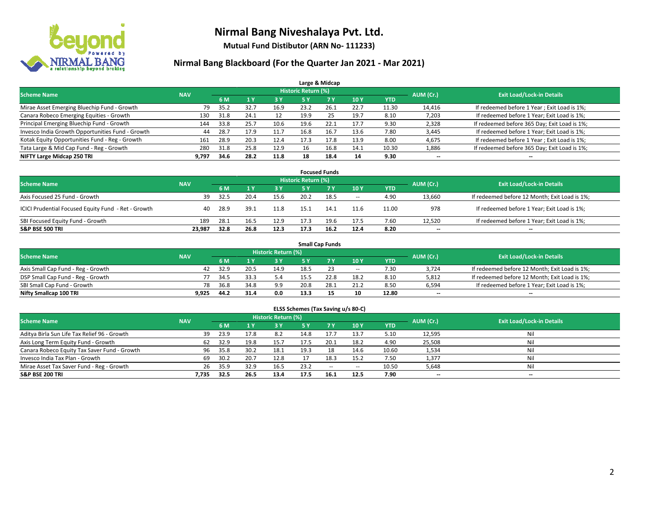

**Mutual Fund Distibutor (ARN No- 111233)**

|                                                  |            |      |      |      |                            | Large & Midcap |      |            |                          |                                              |
|--------------------------------------------------|------------|------|------|------|----------------------------|----------------|------|------------|--------------------------|----------------------------------------------|
| <b>Scheme Name</b>                               | <b>NAV</b> |      |      |      | <b>Historic Return (%)</b> |                |      |            | AUM (Cr.)                | <b>Exit Load/Lock-in Details</b>             |
|                                                  |            | 6 M  |      | 3 Y  | <b>5 Y</b>                 | 7 <sub>V</sub> | 10Y  | <b>YTD</b> |                          |                                              |
| Mirae Asset Emerging Bluechip Fund - Growth      | 79         | 35.2 | 32.7 | 16.9 | 23.2                       | 26.1           | 22.7 | 11.30      | 14,416                   | If redeemed before 1 Year; Exit Load is 1%;  |
| Canara Robeco Emerging Equities - Growth         | 130        | 31.8 | 24.1 | 12   | 19.9                       | 25             | 19.7 | 8.10       | 7,203                    | If redeemed before 1 Year; Exit Load is 1%;  |
| Principal Emerging Bluechip Fund - Growth        | 144        | 33.8 | 25.7 | 10.6 | 19.6                       | 22.1           | 17.7 | 9.30       | 2,328                    | If redeemed before 365 Day; Exit Load is 1%; |
| Invesco India Growth Opportunities Fund - Growth | 44         | 28.7 | 17.9 | 11.7 | 16.8                       | 16.7           | 13.6 | 7.80       | 3,445                    | If redeemed before 1 Year; Exit Load is 1%;  |
| Kotak Equity Opportunities Fund - Reg - Growth   | 161        | 28.9 | 20.3 | 12.4 | 17.3                       | 17.8           | 13.9 | 8.00       | 4,675                    | If redeemed before 1 Year; Exit Load is 1%;  |
| Tata Large & Mid Cap Fund - Reg - Growth         | 280        | 31.8 | 25.8 | 12.9 | 16                         | 16.8           | 14.1 | 10.30      | 1,886                    | If redeemed before 365 Day; Exit Load is 1%; |
| NIFTY Large Midcap 250 TRI                       | 9.797      | 34.6 | 28.2 | 11.8 | 18                         | 18.4           | 14   | 9.30       | $\overline{\phantom{a}}$ | --                                           |

| <b>Focused Funds</b>                                |            |      |      |      |                     |      |        |            |           |                                               |  |  |  |
|-----------------------------------------------------|------------|------|------|------|---------------------|------|--------|------------|-----------|-----------------------------------------------|--|--|--|
| <b>Scheme Name</b>                                  | <b>NAV</b> |      |      |      | Historic Return (%) |      |        |            | AUM (Cr.) | <b>Exit Load/Lock-in Details</b>              |  |  |  |
|                                                     |            | 6 M  |      | 3 Y  | 5 Y                 |      | 10Y    | <b>YTD</b> |           |                                               |  |  |  |
| Axis Focused 25 Fund - Growth                       | 39         | 32.5 |      | 15.6 | 20.2                | 18.5 | $\sim$ | 4.90       | 13,660    | If redeemed before 12 Month; Exit Load is 1%; |  |  |  |
| ICICI Prudential Focused Equity Fund - Ret - Growth | 40         | 28.9 | 39.1 | 11.8 | 15.1                | 14.1 | 11.6   | 11.00      | 978       | If redeemed before 1 Year; Exit Load is 1%;   |  |  |  |
| SBI Focused Equity Fund - Growth                    | 189        | 28.1 | 16.5 | 12.9 | 17.3                | 19.6 | 17.5   | 7.60       | 12.520    | If redeemed before 1 Year; Exit Load is 1%;   |  |  |  |
| <b>S&amp;P BSE 500 TRI</b>                          | 23.987     | 32.8 | 26.8 | 12.3 | 17.3                | 16.2 | 12.4   | 8.20       | $- -$     | $\overline{\phantom{a}}$                      |  |  |  |

| <b>Small Cap Funds</b>             |            |           |                                  |      |      |      |                          |            |       |                                               |  |  |  |
|------------------------------------|------------|-----------|----------------------------------|------|------|------|--------------------------|------------|-------|-----------------------------------------------|--|--|--|
| <b>Scheme Name</b>                 | <b>NAV</b> | AUM (Cr.) | <b>Exit Load/Lock-in Details</b> |      |      |      |                          |            |       |                                               |  |  |  |
|                                    |            | 6 M       |                                  | 3 Y  |      |      | 10Y                      | <b>YTD</b> |       |                                               |  |  |  |
| Axis Small Cap Fund - Reg - Growth | 42         | 32.9      |                                  | 14.9 | 18.5 |      | $\overline{\phantom{a}}$ | 7.30       | 3.724 | If redeemed before 12 Month; Exit Load is 1%; |  |  |  |
| DSP Small Cap Fund - Reg - Growth  |            | 34.5      | 33.3                             | 5.4  | 15.5 | 22.8 | 18.2                     | 8.10       | 5,812 | If redeemed before 12 Month; Exit Load is 1%; |  |  |  |
| SBI Small Cap Fund - Growth        | 78         | 36.8      | 34.8                             | 9.9  | 20.8 |      | 21.2                     | 8.50       | 6,594 | If redeemed before 1 Year; Exit Load is 1%;   |  |  |  |
| Nifty Smallcap 100 TRI             | 9.925      | 44.2      | 31.4                             | 0.0  | 13.3 |      | 10                       | 12.80      | $- -$ | $-$                                           |  |  |  |

| ELSS Schemes (Tax Saving u/s 80-C)           |                                  |      |      |      |           |        |            |            |           |     |  |  |  |
|----------------------------------------------|----------------------------------|------|------|------|-----------|--------|------------|------------|-----------|-----|--|--|--|
| <b>Scheme Name</b>                           | <b>Exit Load/Lock-in Details</b> |      |      |      |           |        |            |            |           |     |  |  |  |
|                                              | <b>NAV</b>                       | 6 M  | 71 Y | 3 Y  | <b>5Y</b> | 7V     | <b>10Y</b> | <b>YTD</b> | AUM (Cr.) |     |  |  |  |
| Aditya Birla Sun Life Tax Relief 96 - Growth | 39                               | 23.9 | 17.8 | 8.2  | 14.8      | 17.7   | 13.7       | 5.10       | 12,595    | Nil |  |  |  |
| Axis Long Term Equity Fund - Growth          | 62                               | 32.9 | 19.8 | 15.7 | 17.5      | 20.1   | 18.2       | 4.90       | 25,508    | Nil |  |  |  |
| Canara Robeco Equity Tax Saver Fund - Growth | 96                               | 35.8 | 30.2 | 18.1 | 19.3      | 18     | 14.6       | 10.60      | 1,534     | Nil |  |  |  |
| Invesco India Tax Plan - Growth              | 69                               | 30.2 | 20.7 | 12.8 |           | 18.3   | 15.2       | 7.50       | 1,377     | Nil |  |  |  |
| Mirae Asset Tax Saver Fund - Reg - Growth    | 26                               | 35.9 | 32.9 | 16.5 | 23.2      | $\sim$ | $\sim$     | 10.50      | 5,648     | Nil |  |  |  |
| S&P BSE 200 TRI                              | 7,735                            | 32.5 | 26.5 | 13.4 | 17.5      | 16.1   | 12.5       | 7.90       | $- -$     | $-$ |  |  |  |
|                                              |                                  |      |      |      |           |        |            |            |           |     |  |  |  |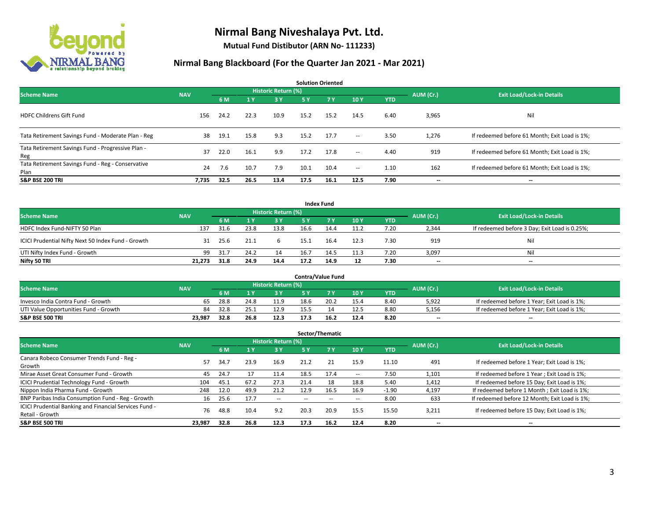

**Mutual Fund Distibutor (ARN No- 111233)**

| <b>Solution Oriented</b>                                  |            |      |      |                            |           |           |        |            |           |                                               |  |  |
|-----------------------------------------------------------|------------|------|------|----------------------------|-----------|-----------|--------|------------|-----------|-----------------------------------------------|--|--|
| <b>Scheme Name</b>                                        | <b>NAV</b> |      |      | <b>Historic Return (%)</b> |           |           |        |            | AUM (Cr.) | <b>Exit Load/Lock-in Details</b>              |  |  |
|                                                           |            | 6 M  | 1Y   | 3 Y                        | <b>5Y</b> | <b>7Y</b> | 10Y    | <b>YTD</b> |           |                                               |  |  |
| <b>HDFC Childrens Gift Fund</b>                           | 156        | 24.2 | 22.3 | 10.9                       | 15.2      | 15.2      | 14.5   | 6.40       | 3,965     | Nil                                           |  |  |
| Tata Retirement Savings Fund - Moderate Plan - Reg        | 38         | 19.1 | 15.8 | 9.3                        | 15.2      | 17.7      | $\sim$ | 3.50       | 1,276     | If redeemed before 61 Month; Exit Load is 1%; |  |  |
| Tata Retirement Savings Fund - Progressive Plan -<br>Reg  | 37         | 22.0 | 16.1 | 9.9                        | 17.2      | 17.8      | $\sim$ | 4.40       | 919       | If redeemed before 61 Month; Exit Load is 1%; |  |  |
| Tata Retirement Savings Fund - Reg - Conservative<br>Plan | 24         | 7.6  | 10.7 | 7.9                        | 10.1      | 10.4      | $\sim$ | 1.10       | 162       | If redeemed before 61 Month; Exit Load is 1%; |  |  |
| <b>S&amp;P BSE 200 TRI</b>                                | 7,735      | 32.5 | 26.5 | 13.4                       | 17.5      | 16.1      | 12.5   | 7.90       | --        | $\hspace{0.05cm}$                             |  |  |

| <b>Index Fund</b>                                  |            |                                  |      |           |           |            |      |            |                          |                                               |  |  |  |
|----------------------------------------------------|------------|----------------------------------|------|-----------|-----------|------------|------|------------|--------------------------|-----------------------------------------------|--|--|--|
| <b>Scheme Name</b>                                 | AUM (Cr.)  | <b>Exit Load/Lock-in Details</b> |      |           |           |            |      |            |                          |                                               |  |  |  |
|                                                    | <b>NAV</b> | 6 M                              |      | <b>3Y</b> | <b>5Y</b> | <b>7 Y</b> | 10Y  | <b>YTD</b> |                          |                                               |  |  |  |
| HDFC Index Fund-NIFTY 50 Plan                      | 137        | 31.6                             | 23.8 | 13.8      | 16.6      | 14.4       | 11.2 | 7.20       | 2,344                    | If redeemed before 3 Day; Exit Load is 0.25%; |  |  |  |
| ICICI Prudential Nifty Next 50 Index Fund - Growth | 31         | 25.6                             | 21.1 |           | 15.1      | 16.4       | 12.3 | 7.30       | 919                      | Nil                                           |  |  |  |
| UTI Nifty Index Fund - Growth                      | 99         | 31.7                             | 24.2 | 14        | 16.7      | 14.5       | 11.3 | 7.20       | 3,097                    | Nil                                           |  |  |  |
| Nifty 50 TRI                                       | 21,273     | 31.8                             | 24.9 | 14.4      | 17.2      | 14.9       | 12   | 7.30       | $\overline{\phantom{a}}$ | $\overline{\phantom{a}}$                      |  |  |  |

|                                       |            |      |      |                     |      | <b>Contra/Value Fund</b> |      |      |           |                                             |
|---------------------------------------|------------|------|------|---------------------|------|--------------------------|------|------|-----------|---------------------------------------------|
| <b>Scheme Name</b>                    | <b>NAV</b> |      |      | Historic Return (%) |      |                          |      |      | AUM (Cr.) | <b>Exit Load/Lock-in Details</b>            |
|                                       |            | 6 M  |      | 3 Y                 |      |                          | 10Y  | YTD  |           |                                             |
| Invesco India Contra Fund - Growth    | 65         | 28.8 | 24.8 | 11.9                | 18.6 | 20.2                     | 15.4 | 8.40 | 5,922     | If redeemed before 1 Year; Exit Load is 1%; |
| UTI Value Opportunities Fund - Growth | 84         | 32.8 | 25.1 | 12.9                | 15.5 |                          | 12.5 | 8.80 | 5,156     | If redeemed before 1 Year; Exit Load is 1%; |
| <b>S&amp;P BSE 500 TRI</b>            | 23.987     | 32.8 | 26.8 | 12.3                | 17.3 | 16.2                     | 12.4 | 8.20 | $- -$     | $\overline{\phantom{a}}$                    |

|                                                                           |            |      |                         |                          |      | Sector/Thematic |      |            |           |                                               |
|---------------------------------------------------------------------------|------------|------|-------------------------|--------------------------|------|-----------------|------|------------|-----------|-----------------------------------------------|
| <b>Scheme Name</b>                                                        | <b>NAV</b> |      |                         | Historic Return (%)      |      |                 |      |            | AUM (Cr.) | <b>Exit Load/Lock-in Details</b>              |
|                                                                           |            | 6 M  | $\mathbf{1} \mathbf{v}$ | 3 Y                      | 5 Y  | 7Y              | 10Y  | <b>YTD</b> |           |                                               |
| Canara Robeco Consumer Trends Fund - Reg -<br>Growth                      | 57         | 34.7 | 23.9                    | 16.9                     | 21.2 | 21              | 15.9 | 11.10      | 491       | If redeemed before 1 Year; Exit Load is 1%;   |
| Mirae Asset Great Consumer Fund - Growth                                  | 45         | 24.7 | 17                      | 11.4                     | 18.5 | 17.4            | --   | 7.50       | 1,101     | If redeemed before 1 Year; Exit Load is 1%;   |
| <b>ICICI Prudential Technology Fund - Growth</b>                          | 104        | 45.1 | 67.2                    | 27.3                     | 21.4 | 18              | 18.8 | 5.40       | 1,412     | If redeemed before 15 Day; Exit Load is 1%;   |
| Nippon India Pharma Fund - Growth                                         | 248        | 12.0 | 49.9                    | 21.2                     | 12.9 | 16.5            | 16.9 | $-1.90$    | 4.197     | If redeemed before 1 Month; Exit Load is 1%;  |
| BNP Paribas India Consumption Fund - Reg - Growth                         | 16         | 25.6 | 17.7                    | $\overline{\phantom{a}}$ |      |                 | --   | 8.00       | 633       | If redeemed before 12 Month; Exit Load is 1%; |
| ICICI Prudential Banking and Financial Services Fund -<br>Retail - Growth | 76         | 48.8 | 10.4                    | 9.2                      | 20.3 | 20.9            | 15.5 | 15.50      | 3,211     | If redeemed before 15 Day; Exit Load is 1%;   |
| <b>S&amp;P BSE 500 TRI</b>                                                | 23,987     | 32.8 | 26.8                    | 12.3                     | 17.3 | 16.2            | 12.4 | 8.20       | --        | --                                            |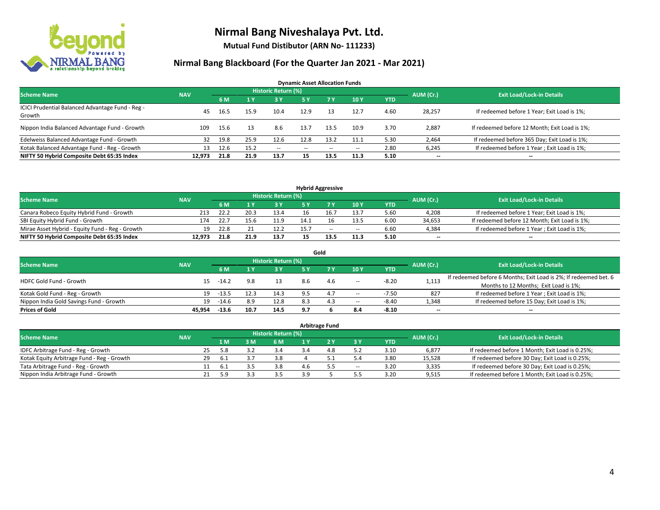

**Mutual Fund Distibutor (ARN No- 111233)**

| <b>Dynamic Asset Allocation Funds</b>                      |            |      |      |                            |      |       |       |            |                          |                                               |  |  |  |
|------------------------------------------------------------|------------|------|------|----------------------------|------|-------|-------|------------|--------------------------|-----------------------------------------------|--|--|--|
| <b>Scheme Name</b>                                         | <b>NAV</b> |      |      | <b>Historic Return (%)</b> |      |       |       |            | AUM (Cr.)                | <b>Exit Load/Lock-in Details</b>              |  |  |  |
|                                                            |            | 6 M  |      | 73 Y                       | 5 Y  | 7 Y   | 10Y   | <b>YTD</b> |                          |                                               |  |  |  |
| ICICI Prudential Balanced Advantage Fund - Reg -<br>Growth | 45         | 16.5 | 15.9 | 10.4                       | 12.9 | -13   | 12.7  | 4.60       | 28,257                   | If redeemed before 1 Year; Exit Load is 1%;   |  |  |  |
| Nippon India Balanced Advantage Fund - Growth              | 109        | 15.6 | 13   | 8.6                        | 13.7 | 13.5  | 10.9  | 3.70       | 2,887                    | If redeemed before 12 Month; Exit Load is 1%; |  |  |  |
| Edelweiss Balanced Advantage Fund - Growth                 | 32         | 19.8 | 25.9 | 12.6                       | 12.8 | 13.2  | 11.1  | 5.30       | 2,464                    | If redeemed before 365 Day; Exit Load is 1%;  |  |  |  |
| Kotak Balanced Advantage Fund - Reg - Growth               | 13         | 12.6 | 15.2 | $- -$                      | --   | $- -$ | $\!-$ | 2.80       | 6,245                    | If redeemed before 1 Year; Exit Load is 1%;   |  |  |  |
| NIFTY 50 Hybrid Composite Debt 65:35 Index                 | 12.973     | 21.8 | 21.9 | 13.7                       | 15   | 13.5  | 11.3  | 5.10       | $\overline{\phantom{a}}$ | --                                            |  |  |  |

| <b>Hybrid Aggressive</b>                        |            |      |      |                     |      |        |        |            |           |                                               |  |  |  |
|-------------------------------------------------|------------|------|------|---------------------|------|--------|--------|------------|-----------|-----------------------------------------------|--|--|--|
| <b>Scheme Name</b>                              | <b>NAV</b> |      |      | Historic Return (%) |      |        |        |            | AUM (Cr.) | <b>Exit Load/Lock-in Details</b>              |  |  |  |
|                                                 |            | 6 M  |      | 3 Y                 |      |        | 10Y    | <b>YTD</b> |           |                                               |  |  |  |
| Canara Robeco Equity Hybrid Fund - Growth       | 213        | 22.2 | 20.3 | 13.4                |      | 16.7   | 13.7   | 5.60       | 4,208     | If redeemed before 1 Year; Exit Load is 1%;   |  |  |  |
| SBI Equity Hybrid Fund - Growth                 | 174        | 22.7 | 15.6 | 11.9                |      |        | 13.5   | 6.00       | 34,653    | If redeemed before 12 Month; Exit Load is 1%; |  |  |  |
| Mirae Asset Hybrid - Equity Fund - Reg - Growth | 19         | 22.8 |      | 12.2                | 15.7 | $\sim$ | $\sim$ | 6.60       | 4.384     | If redeemed before 1 Year; Exit Load is 1%;   |  |  |  |
| NIFTY 50 Hybrid Composite Debt 65:35 Index      | 12.973     | 21.8 | 21.9 | 13.7                | 15   | 13.5   | 11.3   | 5.10       | $-$       | $- -$                                         |  |  |  |

| Gold                                    |            |         |      |                     |     |     |       |            |           |                                                                  |  |  |  |  |
|-----------------------------------------|------------|---------|------|---------------------|-----|-----|-------|------------|-----------|------------------------------------------------------------------|--|--|--|--|
| <b>Scheme Name</b>                      | <b>NAV</b> |         |      | Historic Return (%) |     |     |       |            | AUM (Cr.) | <b>Exit Load/Lock-in Details</b>                                 |  |  |  |  |
|                                         |            | 6 M     |      | 73 Y.               | 5 Y |     | 10Y   | <b>YTD</b> |           |                                                                  |  |  |  |  |
| HDFC Gold Fund - Growth                 | 15         | $-14.2$ | 9.8  |                     | 8.6 | 4.6 | $\!-$ | $-8.20$    | 1,113     | If redeemed before 6 Months; Exit Load is 2%; If redeemed bet. 6 |  |  |  |  |
|                                         |            |         |      |                     |     |     |       |            |           | Months to 12 Months; Exit Load is 1%;                            |  |  |  |  |
| Kotak Gold Fund - Reg - Growth          | 19         | $-13.5$ |      | 14.3                | 9.5 | 4.7 | $\!-$ | $-7.50$    | 827       | If redeemed before 1 Year; Exit Load is 1%;                      |  |  |  |  |
| Nippon India Gold Savings Fund - Growth | 19         | $-14.6$ | 8.9  | 12.8                | 8.3 |     | --    | $-8.40$    | 1,348     | If redeemed before 15 Day; Exit Load is 1%;                      |  |  |  |  |
| <b>Prices of Gold</b>                   | 45.954     | $-13.6$ | 10.7 | 14.5                | 9.7 |     | 8.4   | $-8.10$    | --        | $- -$                                                            |  |  |  |  |

| <b>Arbitrage Fund</b>                      |            |    |      |    |                            |  |     |       |            |           |                                                 |  |  |
|--------------------------------------------|------------|----|------|----|----------------------------|--|-----|-------|------------|-----------|-------------------------------------------------|--|--|
| <b>Scheme Name</b>                         | <b>NAV</b> |    |      |    | <b>Historic Return (%)</b> |  |     |       |            | AUM (Cr.) | <b>Exit Load/Lock-in Details</b>                |  |  |
|                                            |            |    | 1 M  | 3M | 6 M                        |  |     | 3 Y   | <b>YTD</b> |           |                                                 |  |  |
| IDFC Arbitrage Fund - Reg - Growth         |            | 25 | 5.8  |    | 3.4                        |  | 4.8 |       | 3.10       | 6,877     | If redeemed before 1 Month; Exit Load is 0.25%; |  |  |
| Kotak Equity Arbitrage Fund - Reg - Growth |            | 29 | -6.1 | 3. | 3.8                        |  | 5.1 |       | 3.80       | 15.528    | If redeemed before 30 Day; Exit Load is 0.25%;  |  |  |
| Tata Arbitrage Fund - Reg - Growth         |            |    | -6.1 |    | 3.8                        |  |     | $\!-$ | 3.20       | 3,335     | If redeemed before 30 Day; Exit Load is 0.25%;  |  |  |
| Nippon India Arbitrage Fund - Growth       |            | 21 | 5.9  |    | 25                         |  |     |       | 3.20       | 9,515     | If redeemed before 1 Month; Exit Load is 0.25%; |  |  |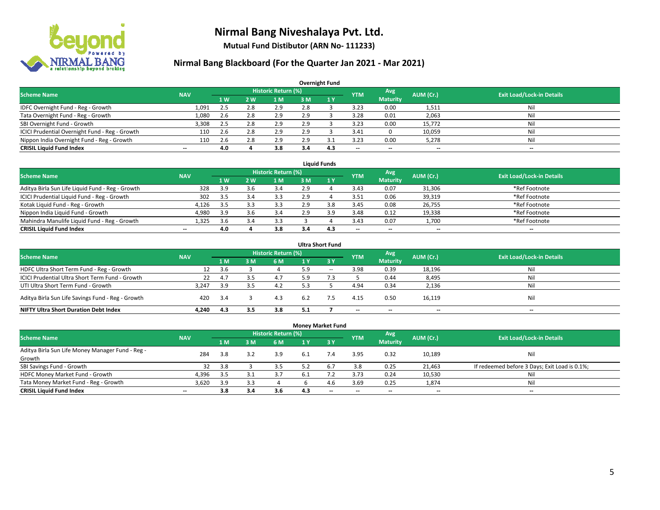

**Mutual Fund Distibutor (ARN No- 111233)**

| <b>Overnight Fund</b>                          |                          |                   |                |                            |     |     |                          |                          |           |                                  |  |  |  |  |
|------------------------------------------------|--------------------------|-------------------|----------------|----------------------------|-----|-----|--------------------------|--------------------------|-----------|----------------------------------|--|--|--|--|
| <b>Scheme Name</b>                             | <b>NAV</b>               |                   |                | <b>Historic Return (%)</b> |     |     | <b>YTM</b>               | <b>Avg</b>               | AUM (Cr.) | <b>Exit Load/Lock-in Details</b> |  |  |  |  |
|                                                |                          | $4 \, \mathrm{W}$ | 2 <sub>w</sub> | l M                        | 3 M | 1Y  |                          | <b>Maturity</b>          |           |                                  |  |  |  |  |
| IDFC Overnight Fund - Reg - Growth             | 1,091                    | 2.5               | 2.8            | 2.9                        | 2.8 |     | 3.23                     | 0.00                     | 1,511     | Nil                              |  |  |  |  |
| Tata Overnight Fund - Reg - Growth             | 1,080                    | 2.6               | 2.8            | 2.9                        | 2.9 |     | 3.28                     | 0.01                     | 2,063     | Nil                              |  |  |  |  |
| SBI Overnight Fund - Growth                    | 3,308                    | 2.5               | 2.8            | 2.9                        | 2.9 |     | 3.23                     | 0.00                     | 15,772    | Nil                              |  |  |  |  |
| ICICI Prudential Overnight Fund - Reg - Growth | 110                      | 2.6               | 2.8            | 2.9                        | 2.9 |     | 3.41                     |                          | 10,059    | Nil                              |  |  |  |  |
| Nippon India Overnight Fund - Reg - Growth     | 110                      | 2.6               | 2.8            | 2.9                        | 2.9 |     | 3.23                     | 0.00                     | 5,278     | Nil                              |  |  |  |  |
| <b>CRISIL Liquid Fund Index</b>                | $\overline{\phantom{a}}$ | 4.0               |                | 3.8                        | 3.4 | 4.3 | $\overline{\phantom{a}}$ | $\overline{\phantom{a}}$ | --        | $\overline{\phantom{a}}$         |  |  |  |  |

| <b>Liauid Funds</b>                              |            |      |            |                     |     |     |                          |                          |           |                                  |  |  |  |
|--------------------------------------------------|------------|------|------------|---------------------|-----|-----|--------------------------|--------------------------|-----------|----------------------------------|--|--|--|
| Scheme Name                                      | <b>NAV</b> |      |            | Historic Return (%) |     |     | <b>YTM</b>               | Avg                      | AUM (Cr.) | <b>Exit Load/Lock-in Details</b> |  |  |  |
|                                                  |            | 1 W  | <b>2 W</b> | 1 M                 | зM  |     |                          | <b>Maturity</b>          |           |                                  |  |  |  |
| Aditya Birla Sun Life Liquid Fund - Reg - Growth | 328        | 3.9  |            | 3.4                 | 2.9 |     | 3.43                     | 0.07                     | 31,306    | *Ref Footnote                    |  |  |  |
| ICICI Prudential Liquid Fund - Reg - Growth      | 302        | 3.5  |            | 3.3                 | 2.9 |     | 3.51                     | 0.06                     | 39,319    | *Ref Footnote                    |  |  |  |
| Kotak Liquid Fund - Reg - Growth                 | 4.126      | -3.5 |            | 3.3                 | 2.9 | 8.8 | 3.45                     | 0.08                     | 26,755    | *Ref Footnote                    |  |  |  |
| Nippon India Liquid Fund - Growth                | 4,980      | 3.9  |            | 3.4                 | 2.9 | : a | 3.48                     | 0.12                     | 19,338    | *Ref Footnote                    |  |  |  |
| Mahindra Manulife Liquid Fund - Reg - Growth     | 1.325      | 3.6  |            | 3.3                 |     |     | 3.43                     | 0.07                     | 1,700     | *Ref Footnote                    |  |  |  |
| <b>CRISIL Liquid Fund Index</b>                  | $- -$      | 4.0  |            | 3.8                 | 3.4 | 4.3 | $\overline{\phantom{a}}$ | $\overline{\phantom{a}}$ | $- -$     | $\overline{\phantom{a}}$         |  |  |  |

| <b>Ultra Short Fund</b>                           |            |     |     |                            |     |                               |                          |                          |                          |                                  |  |  |  |
|---------------------------------------------------|------------|-----|-----|----------------------------|-----|-------------------------------|--------------------------|--------------------------|--------------------------|----------------------------------|--|--|--|
| <b>Scheme Name</b>                                | <b>NAV</b> |     |     | <b>Historic Return (%)</b> |     |                               | <b>YTM</b>               | Avg                      | AUM (Cr.)                | <b>Exit Load/Lock-in Details</b> |  |  |  |
|                                                   |            | 1 M | 3 M | 6 M                        | 1 Y | $\overline{3}$ $\overline{Y}$ |                          | <b>Maturity</b>          |                          |                                  |  |  |  |
| HDFC Ultra Short Term Fund - Reg - Growth         | 12         | 3.6 |     |                            | 5.9 | $- -$                         | 3.98                     | 0.39                     | 18,196                   | Nil                              |  |  |  |
| ICICI Prudential Ultra Short Term Fund - Growth   | 22         | 4.7 |     | 4.7                        | 9.د |                               |                          | 0.44                     | 8,495                    | Nil                              |  |  |  |
| UTI Ultra Short Term Fund - Growth                | 3.247      | 3.9 | 3.5 | 4.2                        |     |                               | 4.94                     | 0.34                     | 2,136                    | Nil                              |  |  |  |
| Aditya Birla Sun Life Savings Fund - Reg - Growth | 420        | 3.4 |     | 4.3                        | 6.2 |                               | 4.15                     | 0.50                     | 16,119                   | Nil                              |  |  |  |
| <b>NIFTY Ultra Short Duration Debt Index</b>      | 4.240      | 4.3 | 3.5 | 3.8                        | 5.1 |                               | $\overline{\phantom{a}}$ | $\overline{\phantom{a}}$ | $\overline{\phantom{a}}$ | $-$                              |  |  |  |

| <b>Money Market Fund</b>                                   |            |     |     |                            |     |                               |                          |                          |           |                                               |  |  |  |  |
|------------------------------------------------------------|------------|-----|-----|----------------------------|-----|-------------------------------|--------------------------|--------------------------|-----------|-----------------------------------------------|--|--|--|--|
| <b>Scheme Name</b>                                         | <b>NAV</b> |     |     | <b>Historic Return (%)</b> |     |                               | <b>YTM</b>               | Avg                      | AUM (Cr.) | <b>Exit Load/Lock-in Details</b>              |  |  |  |  |
|                                                            |            | 1 M | 3 M | 6 M                        | 1 Y | $\overline{3}$ $\overline{Y}$ |                          | <b>Maturity</b>          |           |                                               |  |  |  |  |
| Aditya Birla Sun Life Money Manager Fund - Reg -<br>Growth | 284        | 3.8 | 3.2 | 3.9                        | 6.1 | 7.4                           | 3.95                     | 0.32                     | 10,189    | Nil                                           |  |  |  |  |
| SBI Savings Fund - Growth                                  | 32         | 3.8 |     | 3.5                        | 5.2 | 6.7                           | 3.8                      | 0.25                     | 21,463    | If redeemed before 3 Days; Exit Load is 0.1%; |  |  |  |  |
| HDFC Money Market Fund - Growth                            | 4,396      | 3.5 |     | 3.7                        |     |                               | 3.73                     | 0.24                     | 10,530    | Nil                                           |  |  |  |  |
| Tata Money Market Fund - Reg - Growth                      | 3,620      | 3.9 |     |                            |     | 4.6                           | 3.69                     | 0.25                     | 1,874     | Nil                                           |  |  |  |  |
| <b>CRISIL Liquid Fund Index</b>                            | $- -$      | 3.8 | 3.4 | 3.6                        | 4.3 | $- -$                         | $\overline{\phantom{a}}$ | $\overline{\phantom{a}}$ | $- -$     | $-$                                           |  |  |  |  |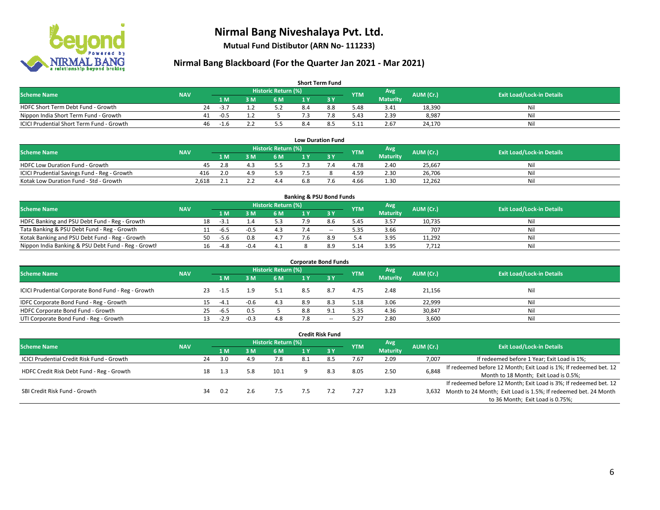

**Mutual Fund Distibutor (ARN No- 111233)**

| <b>Short Term Fund</b>                           |            |    |                |     |                            |     |     |            |                  |           |                                  |  |  |  |
|--------------------------------------------------|------------|----|----------------|-----|----------------------------|-----|-----|------------|------------------|-----------|----------------------------------|--|--|--|
| <b>Scheme Name</b>                               | <b>NAV</b> |    |                |     | <b>Historic Return (%)</b> |     |     | <b>YTM</b> | Avg <sup>1</sup> | AUM (Cr.) | <b>Exit Load/Lock-in Details</b> |  |  |  |
|                                                  |            |    | 1 <sub>M</sub> | 3 M | 6 M                        |     |     |            | <b>Maturity</b>  |           |                                  |  |  |  |
| HDFC Short Term Debt Fund - Growth               |            | 24 | $-37$          |     | 5.2                        | 8.4 | 8.8 | 5.48       | 3.41             | 18,390    | Ni                               |  |  |  |
| Nippon India Short Term Fund - Growth            |            | 41 | $-0.5$         |     |                            |     | 7.8 | 5.43       | 2.39             | 8,987     | Ni                               |  |  |  |
| <b>ICICI Prudential Short Term Fund - Growth</b> |            | 46 | -1.6           |     |                            | 8.4 | 8.5 | 5.11       | 2.67             | 24,170    | Nil                              |  |  |  |

| <b>Low Duration Fund</b>                     |            |     |    |                      |     |  |            |                 |           |                                  |  |  |  |  |
|----------------------------------------------|------------|-----|----|----------------------|-----|--|------------|-----------------|-----------|----------------------------------|--|--|--|--|
| <b>Scheme Name</b>                           | <b>NAV</b> |     |    | Historic Return (%)' |     |  | <b>YTM</b> | Avg             | AUM (Cr.) | <b>Exit Load/Lock-in Details</b> |  |  |  |  |
|                                              |            | 1 M | ١M | 6 M                  |     |  |            | <b>Maturity</b> |           |                                  |  |  |  |  |
| <b>HDFC Low Duration Fund - Growth</b>       | 45         |     |    | 5.5                  |     |  | 4.78       | 2.40            | 25,667    | Nil                              |  |  |  |  |
| ICICI Prudential Savings Fund - Reg - Growth | 416        | 2.0 |    | 5.9                  |     |  | 4.59       | 2.30            | 26,706    | Nil                              |  |  |  |  |
| Kotak Low Duration Fund - Std - Growth       | 2.618      |     |    | 4.4                  | 6.8 |  | 4.66       | 1.30            | 12,262    | Nil                              |  |  |  |  |

| <b>Banking &amp; PSU Bond Funds</b>                 |            |    |      |        |                     |     |        |            |                 |           |                                  |  |  |
|-----------------------------------------------------|------------|----|------|--------|---------------------|-----|--------|------------|-----------------|-----------|----------------------------------|--|--|
| <b>Scheme Name</b>                                  | <b>NAV</b> |    |      |        | Historic Return (%) |     |        | <b>YTM</b> | Avg             | AUM (Cr.) | <b>Exit Load/Lock-in Details</b> |  |  |
|                                                     |            |    | 1 M  | . M    | <b>6 M</b>          |     |        |            | <b>Maturity</b> |           |                                  |  |  |
| HDFC Banking and PSU Debt Fund - Reg - Growth       |            | 18 | -3   |        | 5.3                 | ם ד | 8.6    | 5.45       | 3.57            | 10,735    | Nil                              |  |  |
| Tata Banking & PSU Debt Fund - Reg - Growth         |            |    | -ხ.ა | $-0.5$ | 4.3                 |     | $\sim$ | 5.35       | 3.66            | 707       | Nil                              |  |  |
| Kotak Banking and PSU Debt Fund - Reg - Growth      |            | 50 | -5.6 | 0.8    | 4.7                 | 7.6 | 8.9    | 5.4        | 3.95            | 11.292    | Nil                              |  |  |
| Nippon India Banking & PSU Debt Fund - Reg - Growth |            | 16 | -4.8 |        | 4.1                 |     | 8.9    | 5.14       | 3.95            | 7,712     | Nil                              |  |  |

| <b>Corporate Bond Funds</b>                         |            |    |        |        |                            |     |                          |            |                 |           |                                  |  |  |  |
|-----------------------------------------------------|------------|----|--------|--------|----------------------------|-----|--------------------------|------------|-----------------|-----------|----------------------------------|--|--|--|
| <b>Scheme Name</b>                                  |            |    |        |        | <b>Historic Return (%)</b> |     |                          | <b>YTM</b> | Avg             | AUM (Cr.) | <b>Exit Load/Lock-in Details</b> |  |  |  |
|                                                     | <b>NAV</b> |    | 1 M    | M      | 6 M                        | 1 Y | 73 Y                     |            | <b>Maturity</b> |           |                                  |  |  |  |
| ICICI Prudential Corporate Bond Fund - Reg - Growth |            | 23 | -1.5   |        |                            | 8.5 | 8.7                      | 4.75       | 2.48            | 21,156    | Nil                              |  |  |  |
| IDFC Corporate Bond Fund - Reg - Growth             |            | 15 | -4.⊥   | $-0.6$ | 4.3                        | 8.9 | 8.3                      | 5.18       | 3.06            | 22,999    | Nil                              |  |  |  |
| HDFC Corporate Bond Fund - Growth                   |            | 25 | $-6.5$ | 0.5    |                            | 8.8 | Q <sub>1</sub>           | 5.35       | 4.36            | 30,847    | Nil                              |  |  |  |
| UTI Corporate Bond Fund - Reg - Growth              |            |    | $-2.9$ | $-0.3$ | 4.8                        | 7.8 | $\overline{\phantom{a}}$ | 5.27       | 2.80            | 3,600     | Nil                              |  |  |  |

|                                            |            |    |      |     |                            |      | <b>Credit Risk Fund</b> |              |                        |                                       |                                                                       |
|--------------------------------------------|------------|----|------|-----|----------------------------|------|-------------------------|--------------|------------------------|---------------------------------------|-----------------------------------------------------------------------|
| <b>Scheme Name</b>                         | <b>NAV</b> |    |      |     | <b>Historic Return (%)</b> |      |                         | <b>YTM</b>   | Avg<br><b>Maturity</b> | AUM (Cr.)                             | <b>Exit Load/Lock-in Details</b>                                      |
|                                            |            |    | 1 M  | : M | 6 M                        | 1 Y  | $Z$ 3 $V$               |              |                        |                                       |                                                                       |
| ICICI Prudential Credit Risk Fund - Growth |            | 24 | 3.0  | 4.9 | 7.8                        | -8.1 | 8.5                     | 7.67         | 2.09                   | 7,007                                 | If redeemed before 1 Year; Exit Load is 1%;                           |
| HDFC Credit Risk Debt Fund - Reg - Growth  |            | 18 |      |     | 10.1                       |      | 8.3                     | 2.50<br>8.05 |                        | 6,848                                 | If redeemed before 12 Month; Exit Load is 1%; If redeemed bet. 12     |
|                                            |            |    |      |     |                            |      |                         |              |                        | Month to 18 Month; Exit Load is 0.5%; |                                                                       |
|                                            |            |    |      |     |                            |      |                         |              |                        |                                       | If redeemed before 12 Month; Exit Load is 3%; If redeemed bet. 12     |
| SBI Credit Risk Fund - Growth              |            | 34 | -0.2 |     | 7.5                        |      |                         | 7.27         | 3.23                   |                                       | 3,632 Month to 24 Month; Exit Load is 1.5%; If redeemed bet. 24 Month |
|                                            |            |    |      |     |                            |      |                         |              |                        |                                       | to 36 Month; Exit Load is 0.75%;                                      |